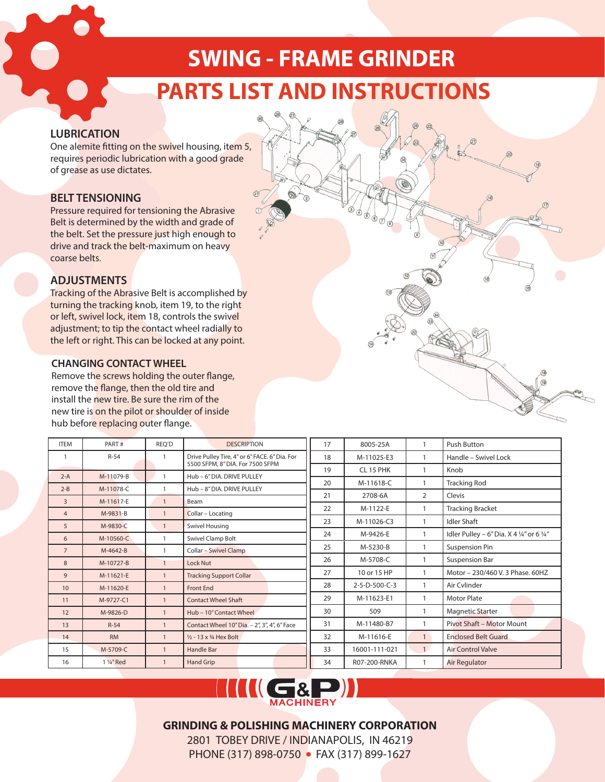# **SWING - FRAME GRINDER PARTS LIST AND INSTRUCTIONS**

## **LUBRICATION**

One alemite fitting on the swivel housing, item 5, requires periodic lubrication with a good grade of grease as use dictates.

## **BELT TENSIONING**

Pressure required for tensioning the Abrasive Belt is determined by the width and grade of the belt. Set the pressure just high enough to drive and track the belt-maximum on heavy coarse belts.

## **ADJUSTMENTS**

Tracking of the Abrasive Belt is accomplished by turning the tracking knob, item 19, to the right or left, swivel lock, item 18, controls the swivel adjustment; to tip the contact wheel radially to the left or right. This can be locked at any point.

#### **CHANGING CONTACT WHEEL**

Remove the screws holding the outer flange, remove the flange, then the old tire and install the new tire. Be sure the rim of the new tire is on the pilot or shoulder of inside hub before replacing outer flange.

| <b>ITEM</b>    | PART#                   | REO'D          | <b>DESCRIPTION</b>                            | 17 | 8005-25A      |                | Push Button                               |
|----------------|-------------------------|----------------|-----------------------------------------------|----|---------------|----------------|-------------------------------------------|
|                | $R-54$                  |                | Drive Pulley Tire, 4" or 6" FACE. 6" Dia. For | 18 | M-11025-E3    | 1              | Handle - Swivel Lock                      |
|                |                         |                | 5500 SFPM, 8" DIA. For 7500 SFPM              | 19 | CL 15 PHK     |                | Knob                                      |
| $2-A$          | M-11079-B               |                | Hub - 6" DIA. DRIVE PULLEY                    | 20 | M-11618-C     |                | <b>Tracking Rod</b>                       |
| $2 - B$        | M-11078-C               |                | Hub - 8" DIA. DRIVE PULLEY                    | 21 | 2708-6A       | 2              | Clevis                                    |
| $\overline{3}$ | M-11617-E               | $\mathbf{1}$   | Beam                                          |    |               |                |                                           |
| $\overline{4}$ | M-9831-B                | $\overline{1}$ | Collar - Locating                             | 22 | M-1122-E      |                | <b>Tracking Bracket</b>                   |
| 5              | M-9830-C                | $\mathbf{1}$   | <b>Swivel Housing</b>                         | 23 | M-11026-C3    |                | <b>Idler Shaft</b>                        |
| 6              | M-10560-C               | $\mathbf{1}$   | Swivel Clamp Bolt                             | 24 | M-9426-E      |                | Idler Pulley - 6" Dia. X 4 1/4" or 6 1/4" |
| $\overline{7}$ | M-4642-B                | $\mathbf{1}$   | <b>Collar - Swivel Clamp</b>                  | 25 | M-5230-B      |                | <b>Suspension Pin</b>                     |
| 8              | M-10727-B               | $\mathbf{1}$   | Lock Nut                                      | 26 | M-5708-C      |                | <b>Suspension Bar</b>                     |
| 9              | M-11621-E               | $\mathbf{1}$   | <b>Tracking Support Collar</b>                | 27 | 10 or 15 HP   | $\mathbf{1}$   | Motor - 230/460 V. 3 Phase, 60HZ          |
| 10             | M-11620-E               | $\mathbf{1}$   | <b>Front End</b>                              | 28 | 2-5-D-500-C-3 | $\mathbf{1}$   | Air Cylinder                              |
| 11             | M-9727-C1               |                | <b>Contact Wheel Shaft</b>                    | 29 | M-11623-E1    | 1              | <b>Motor Plate</b>                        |
| 12             | M-9826-D                |                | Hub - 10" Contact Wheel                       | 30 | 509           | $\mathbf{1}$   | <b>Magnetic Starter</b>                   |
| 13             | $R-54$                  | $\overline{1}$ | Contact Wheel 10" Dia. - 2", 3", 4", 6" Face  | 31 | M-11480-B7    |                | Pivot Shaft - Motor Mount                 |
| 14             | <b>RM</b>               |                | $\frac{1}{2}$ - 13 x $\frac{3}{4}$ Hex Bolt   | 32 | M-11616-E     | 1              | <b>Enclosed Belt Guard</b>                |
| 15             | M-5709-C                | $\overline{1}$ | <b>Handle Bar</b>                             | 33 | 16001-111-021 | $\overline{1}$ | <b>Air Control Valve</b>                  |
| 16             | 1 1/ <sub>4</sub> " Red |                | Hand Grip                                     | 34 | R07-200-RNKA  |                | Air Regulator                             |

 $\sqrt{19}$ 



## **GRINDING & POLISHING MACHINERY CORPORATION**

2801 TOBEY DRIVE / INDIANAPOLIS, IN 46219 PHONE (317) 898-0750 • FAX (317) 899-1627